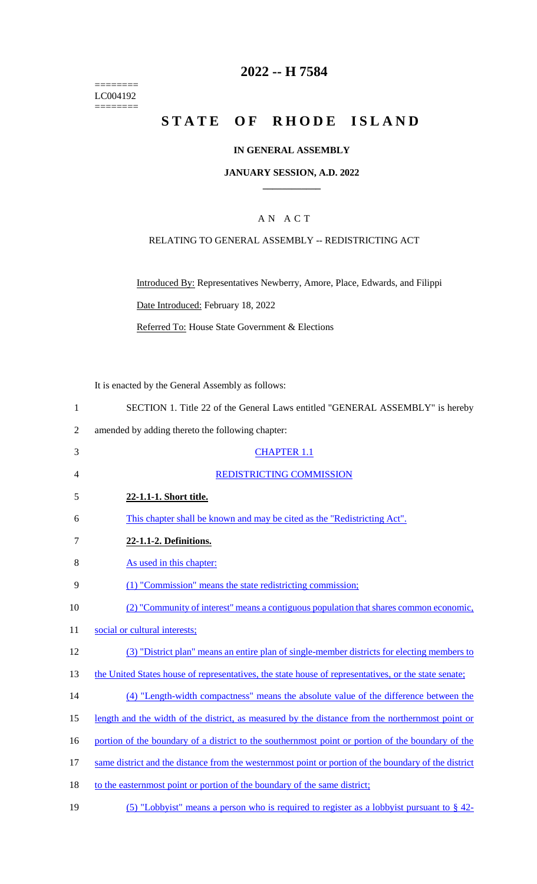======== LC004192 ========

# **2022 -- H 7584**

# STATE OF RHODE ISLAND

### **IN GENERAL ASSEMBLY**

#### **JANUARY SESSION, A.D. 2022 \_\_\_\_\_\_\_\_\_\_\_\_**

## A N A C T

### RELATING TO GENERAL ASSEMBLY -- REDISTRICTING ACT

Introduced By: Representatives Newberry, Amore, Place, Edwards, and Filippi Date Introduced: February 18, 2022

Referred To: House State Government & Elections

It is enacted by the General Assembly as follows:

| SECTION 1. Title 22 of the General Laws entitled "GENERAL ASSEMBLY" is hereby |  |
|-------------------------------------------------------------------------------|--|
|-------------------------------------------------------------------------------|--|

- 2 amended by adding thereto the following chapter:
- 3 CHAPTER 1.1 4 REDISTRICTING COMMISSION 5 **22-1.1-1. Short title.**  6 This chapter shall be known and may be cited as the "Redistricting Act". 7 **22-1.1-2. Definitions.**  8 As used in this chapter: 9 (1) "Commission" means the state redistricting commission; 10 (2) "Community of interest" means a contiguous population that shares common economic, 11 social or cultural interests; 12 (3) "District plan" means an entire plan of single-member districts for electing members to 13 the United States house of representatives, the state house of representatives, or the state senate; 14 (4) "Length-width compactness" means the absolute value of the difference between the 15 length and the width of the district, as measured by the distance from the northernmost point or 16 portion of the boundary of a district to the southernmost point or portion of the boundary of the 17 same district and the distance from the westernmost point or portion of the boundary of the district 18 to the easternmost point or portion of the boundary of the same district;

19 (5) "Lobbyist" means a person who is required to register as a lobbyist pursuant to § 42-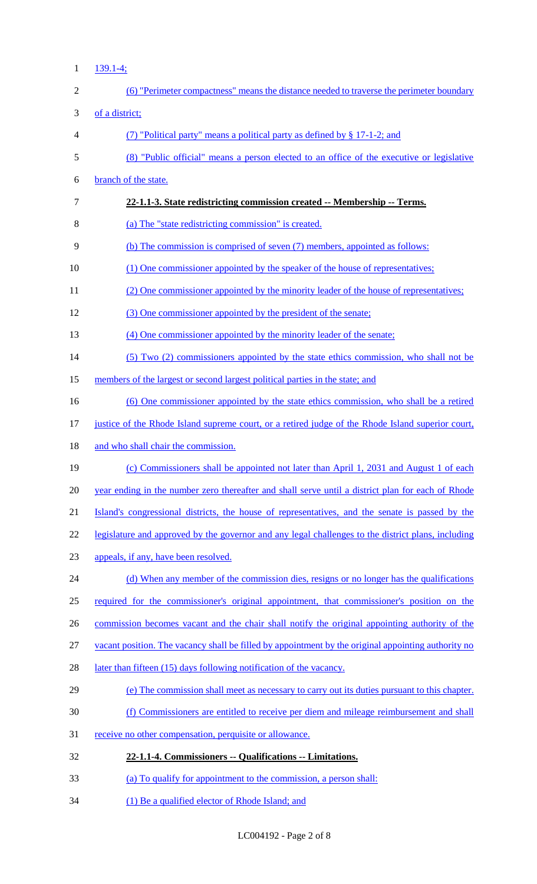$1 \frac{139.1-4}{3}$ 

| $\mathbf{2}$   | (6) "Perimeter compactness" means the distance needed to traverse the perimeter boundary            |
|----------------|-----------------------------------------------------------------------------------------------------|
| 3              | of a district;                                                                                      |
| $\overline{4}$ | (7) "Political party" means a political party as defined by $\S 17$ -1-2; and                       |
| 5              | (8) "Public official" means a person elected to an office of the executive or legislative           |
| 6              | branch of the state.                                                                                |
| $\overline{7}$ | 22-1.1-3. State redistricting commission created -- Membership -- Terms.                            |
| 8              | (a) The "state redistricting commission" is created.                                                |
| 9              | (b) The commission is comprised of seven (7) members, appointed as follows:                         |
| 10             | (1) One commissioner appointed by the speaker of the house of representatives;                      |
| 11             | (2) One commissioner appointed by the minority leader of the house of representatives;              |
| 12             | (3) One commissioner appointed by the president of the senate;                                      |
| 13             | (4) One commissioner appointed by the minority leader of the senate;                                |
| 14             | (5) Two (2) commissioners appointed by the state ethics commission, who shall not be                |
| 15             | members of the largest or second largest political parties in the state; and                        |
| 16             | (6) One commissioner appointed by the state ethics commission, who shall be a retired               |
| 17             | justice of the Rhode Island supreme court, or a retired judge of the Rhode Island superior court,   |
| 18             | and who shall chair the commission.                                                                 |
| 19             | (c) Commissioners shall be appointed not later than April 1, 2031 and August 1 of each              |
| 20             | year ending in the number zero thereafter and shall serve until a district plan for each of Rhode   |
| 21             | Island's congressional districts, the house of representatives, and the senate is passed by the     |
| 22             | legislature and approved by the governor and any legal challenges to the district plans, including  |
| 23             | appeals, if any, have been resolved.                                                                |
| 24             | (d) When any member of the commission dies, resigns or no longer has the qualifications             |
| 25             | required for the commissioner's original appointment, that commissioner's position on the           |
| 26             | commission becomes vacant and the chair shall notify the original appointing authority of the       |
| 27             | yacant position. The vacancy shall be filled by appointment by the original appointing authority no |
| 28             | later than fifteen (15) days following notification of the vacancy.                                 |
| 29             | (e) The commission shall meet as necessary to carry out its duties pursuant to this chapter.        |
| 30             | (f) Commissioners are entitled to receive per diem and mileage reimbursement and shall              |
| 31             | receive no other compensation, perquisite or allowance.                                             |
| 32             | 22-1.1-4. Commissioners -- Qualifications -- Limitations.                                           |
| 33             | (a) To qualify for appointment to the commission, a person shall:                                   |
| 34             | (1) Be a qualified elector of Rhode Island; and                                                     |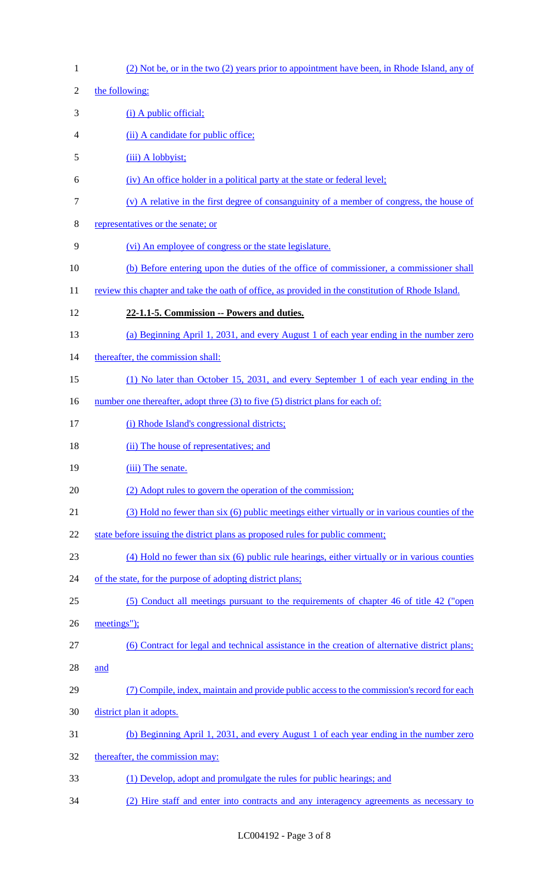| $\mathbf{1}$   | (2) Not be, or in the two (2) years prior to appointment have been, in Rhode Island, any of       |
|----------------|---------------------------------------------------------------------------------------------------|
| $\overline{c}$ | the following:                                                                                    |
| 3              | $(i)$ A public official;                                                                          |
| 4              | (ii) A candidate for public office;                                                               |
| 5              | (iii) A lobbyist;                                                                                 |
| 6              | (iv) An office holder in a political party at the state or federal level;                         |
| 7              | $(v)$ A relative in the first degree of consanguinity of a member of congress, the house of       |
| 8              | representatives or the senate; or                                                                 |
| 9              | (vi) An employee of congress or the state legislature.                                            |
| 10             | (b) Before entering upon the duties of the office of commissioner, a commissioner shall           |
| 11             | review this chapter and take the oath of office, as provided in the constitution of Rhode Island. |
| 12             | 22-1.1-5. Commission -- Powers and duties.                                                        |
| 13             | (a) Beginning April 1, 2031, and every August 1 of each year ending in the number zero            |
| 14             | thereafter, the commission shall:                                                                 |
| 15             | (1) No later than October 15, 2031, and every September 1 of each year ending in the              |
| 16             | number one thereafter, adopt three (3) to five (5) district plans for each of:                    |
| 17             | (i) Rhode Island's congressional districts;                                                       |
| 18             | (ii) The house of representatives; and                                                            |
| 19             | (iii) The senate.                                                                                 |
| 20             | (2) Adopt rules to govern the operation of the commission;                                        |
| 21             | (3) Hold no fewer than six (6) public meetings either virtually or in various counties of the     |
| 22             | state before issuing the district plans as proposed rules for public comment;                     |
| 23             | (4) Hold no fewer than six (6) public rule hearings, either virtually or in various counties      |
| 24             | of the state, for the purpose of adopting district plans;                                         |
| 25             | (5) Conduct all meetings pursuant to the requirements of chapter 46 of title 42 ("open            |
| 26             | meetings");                                                                                       |
| 27             | (6) Contract for legal and technical assistance in the creation of alternative district plans;    |
| 28             | and                                                                                               |
| 29             | (7) Compile, index, maintain and provide public access to the commission's record for each        |
| 30             | district plan it adopts.                                                                          |
|                |                                                                                                   |
| 31             | (b) Beginning April 1, 2031, and every August 1 of each year ending in the number zero            |
| 32             | thereafter, the commission may:                                                                   |
| 33             | (1) Develop, adopt and promulgate the rules for public hearings; and                              |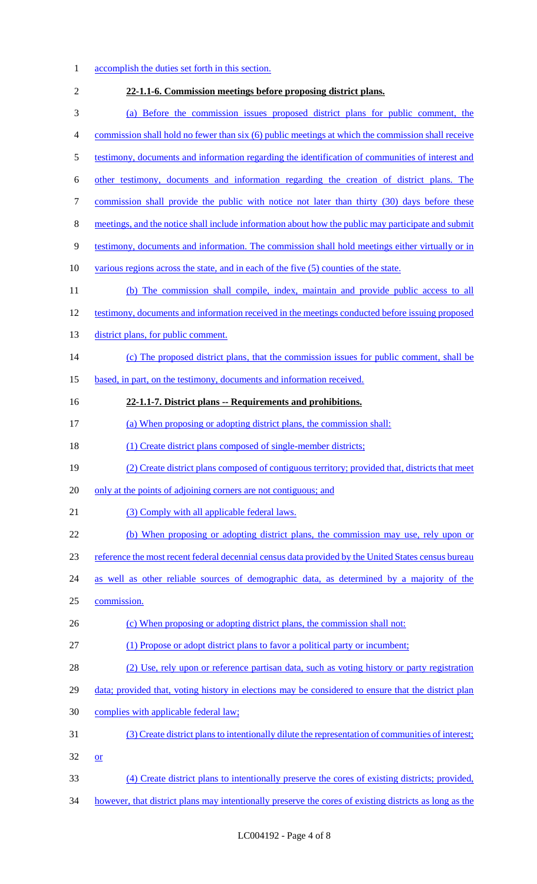- 1 accomplish the duties set forth in this section. **22-1.1-6. Commission meetings before proposing district plans.**
- (a) Before the commission issues proposed district plans for public comment, the
- commission shall hold no fewer than six (6) public meetings at which the commission shall receive
- testimony, documents and information regarding the identification of communities of interest and
- other testimony, documents and information regarding the creation of district plans. The
- 7 commission shall provide the public with notice not later than thirty (30) days before these
- meetings, and the notice shall include information about how the public may participate and submit
- testimony, documents and information. The commission shall hold meetings either virtually or in
- 10 various regions across the state, and in each of the five (5) counties of the state.
- (b) The commission shall compile, index, maintain and provide public access to all
- testimony, documents and information received in the meetings conducted before issuing proposed
- 13 district plans, for public comment.

# 14 (c) The proposed district plans, that the commission issues for public comment, shall be

15 based, in part, on the testimony, documents and information received.

# **22-1.1-7. District plans -- Requirements and prohibitions.**

- (a) When proposing or adopting district plans, the commission shall:
- 18 (1) Create district plans composed of single-member districts;
- (2) Create district plans composed of contiguous territory; provided that, districts that meet
- only at the points of adjoining corners are not contiguous; and
- 21 (3) Comply with all applicable federal laws.
- (b) When proposing or adopting district plans, the commission may use, rely upon or
- reference the most recent federal decennial census data provided by the United States census bureau
- as well as other reliable sources of demographic data, as determined by a majority of the
- commission.
- 26 (c) When proposing or adopting district plans, the commission shall not:
- (1) Propose or adopt district plans to favor a political party or incumbent;
- (2) Use, rely upon or reference partisan data, such as voting history or party registration
- 29 data; provided that, voting history in elections may be considered to ensure that the district plan
- complies with applicable federal law;
- (3) Create district plans to intentionally dilute the representation of communities of interest; or
- (4) Create district plans to intentionally preserve the cores of existing districts; provided,
- however, that district plans may intentionally preserve the cores of existing districts as long as the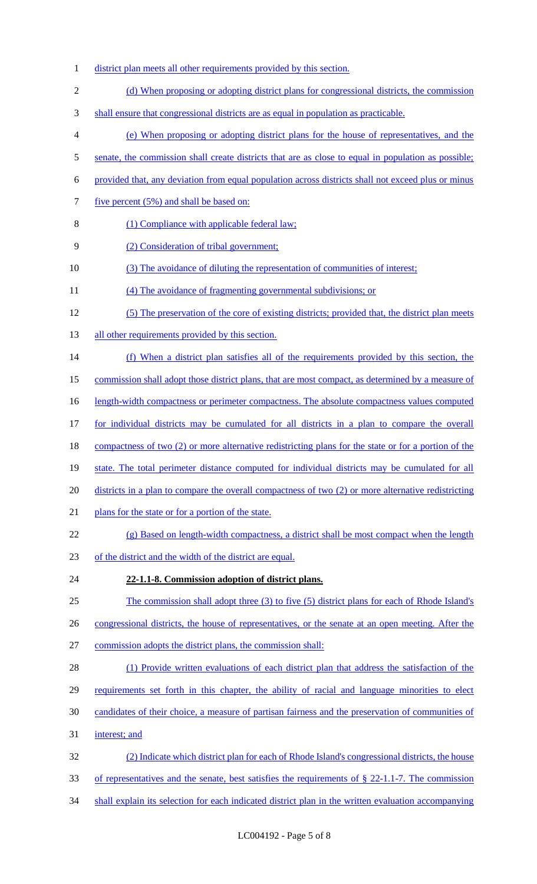- 1 district plan meets all other requirements provided by this section.
- 2 (d) When proposing or adopting district plans for congressional districts, the commission
- 3 shall ensure that congressional districts are as equal in population as practicable.
- 4 (e) When proposing or adopting district plans for the house of representatives, and the
- 5 senate, the commission shall create districts that are as close to equal in population as possible;
- 6 provided that, any deviation from equal population across districts shall not exceed plus or minus
- 7 five percent (5%) and shall be based on:
- 8 (1) Compliance with applicable federal law;
- 9 (2) Consideration of tribal government;
- 10 (3) The avoidance of diluting the representation of communities of interest;
- 11 (4) The avoidance of fragmenting governmental subdivisions; or
- 12 (5) The preservation of the core of existing districts; provided that, the district plan meets
- 13 all other requirements provided by this section.
- 14 (f) When a district plan satisfies all of the requirements provided by this section, the
- 15 commission shall adopt those district plans, that are most compact, as determined by a measure of
- 16 length-width compactness or perimeter compactness. The absolute compactness values computed
- 17 for individual districts may be cumulated for all districts in a plan to compare the overall
- 18 compactness of two (2) or more alternative redistricting plans for the state or for a portion of the
- 19 state. The total perimeter distance computed for individual districts may be cumulated for all
- 20 districts in a plan to compare the overall compactness of two (2) or more alternative redistricting
- 21 plans for the state or for a portion of the state.
- 22 (g) Based on length-width compactness, a district shall be most compact when the length
- 23 of the district and the width of the district are equal.
- 24 **22-1.1-8. Commission adoption of district plans.**
- 25 The commission shall adopt three (3) to five (5) district plans for each of Rhode Island's
- 26 congressional districts, the house of representatives, or the senate at an open meeting. After the
- 27 commission adopts the district plans, the commission shall:
- 28 (1) Provide written evaluations of each district plan that address the satisfaction of the
- 29 requirements set forth in this chapter, the ability of racial and language minorities to elect
- 30 candidates of their choice, a measure of partisan fairness and the preservation of communities of
- 31 interest; and
- 32 (2) Indicate which district plan for each of Rhode Island's congressional districts, the house
- 33 of representatives and the senate, best satisfies the requirements of § 22-1.1-7. The commission
- 34 shall explain its selection for each indicated district plan in the written evaluation accompanying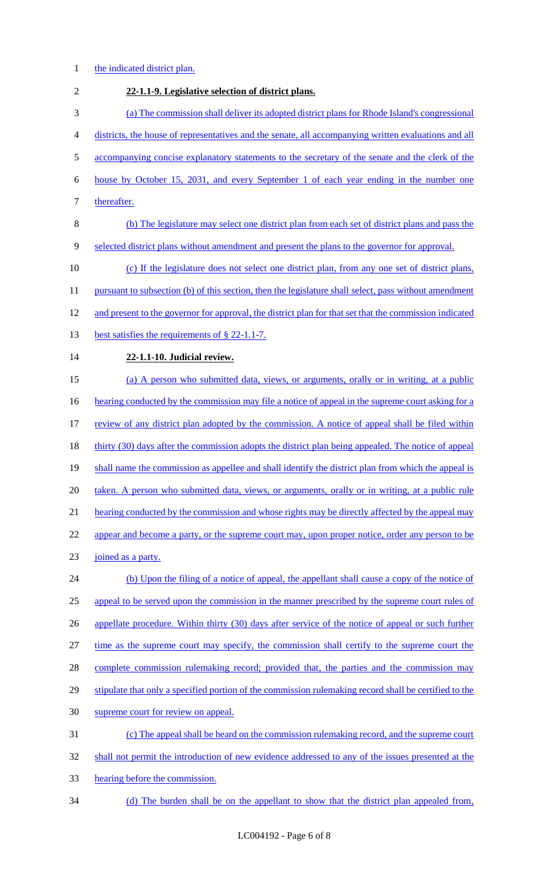- 1 the indicated district plan.
- 2 **22-1.1-9. Legislative selection of district plans.**  3 (a) The commission shall deliver its adopted district plans for Rhode Island's congressional 4 districts, the house of representatives and the senate, all accompanying written evaluations and all 5 accompanying concise explanatory statements to the secretary of the senate and the clerk of the 6 house by October 15, 2031, and every September 1 of each year ending in the number one 7 thereafter. 8 (b) The legislature may select one district plan from each set of district plans and pass the 9 selected district plans without amendment and present the plans to the governor for approval. 10 (c) If the legislature does not select one district plan, from any one set of district plans, 11 pursuant to subsection (b) of this section, then the legislature shall select, pass without amendment 12 and present to the governor for approval, the district plan for that set that the commission indicated 13 best satisfies the requirements of § 22-1.1-7. 14 **22-1.1-10. Judicial review.**  15 (a) A person who submitted data, views, or arguments, orally or in writing, at a public 16 hearting conducted by the commission may file a notice of appeal in the supreme court asking for a 17 review of any district plan adopted by the commission. A notice of appeal shall be filed within 18 thirty (30) days after the commission adopts the district plan being appealed. The notice of appeal 19 shall name the commission as appellee and shall identify the district plan from which the appeal is 20 taken. A person who submitted data, views, or arguments, orally or in writing, at a public rule 21 hearing conducted by the commission and whose rights may be directly affected by the appeal may 22 appear and become a party, or the supreme court may, upon proper notice, order any person to be 23 joined as a party. 24 (b) Upon the filing of a notice of appeal, the appellant shall cause a copy of the notice of 25 appeal to be served upon the commission in the manner prescribed by the supreme court rules of 26 appellate procedure. Within thirty (30) days after service of the notice of appeal or such further 27 time as the supreme court may specify, the commission shall certify to the supreme court the 28 complete commission rulemaking record; provided that, the parties and the commission may 29 stipulate that only a specified portion of the commission rulemaking record shall be certified to the 30 supreme court for review on appeal. 31 (c) The appeal shall be heard on the commission rulemaking record, and the supreme court 32 shall not permit the introduction of new evidence addressed to any of the issues presented at the 33 hearing before the commission. 34 (d) The burden shall be on the appellant to show that the district plan appealed from,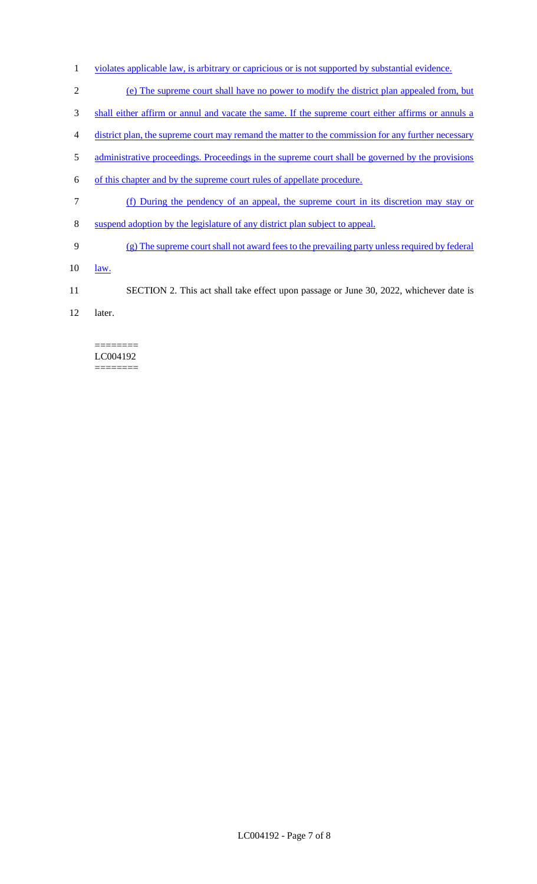- 1 violates applicable law, is arbitrary or capricious or is not supported by substantial evidence.
- 2 (e) The supreme court shall have no power to modify the district plan appealed from, but
- 3 shall either affirm or annul and vacate the same. If the supreme court either affirms or annuls a
- 4 district plan, the supreme court may remand the matter to the commission for any further necessary
- 5 administrative proceedings. Proceedings in the supreme court shall be governed by the provisions
- 6 of this chapter and by the supreme court rules of appellate procedure.
- 7 (f) During the pendency of an appeal, the supreme court in its discretion may stay or
- 8 suspend adoption by the legislature of any district plan subject to appeal.
- 9 (g) The supreme court shall not award fees to the prevailing party unless required by federal
- 10 <u>law.</u>
- 11 SECTION 2. This act shall take effect upon passage or June 30, 2022, whichever date is
- 12 later.

#### ======== LC004192 ========